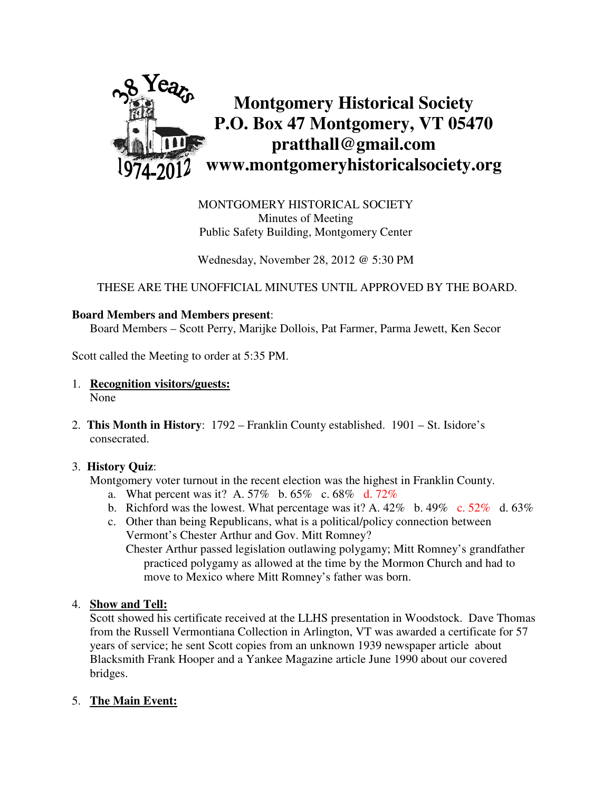

MONTGOMERY HISTORICAL SOCIETY Minutes of Meeting Public Safety Building, Montgomery Center

Wednesday, November 28, 2012 @ 5:30 PM

THESE ARE THE UNOFFICIAL MINUTES UNTIL APPROVED BY THE BOARD.

## **Board Members and Members present**:

Board Members – Scott Perry, Marijke Dollois, Pat Farmer, Parma Jewett, Ken Secor

Scott called the Meeting to order at 5:35 PM.

- 1. **Recognition visitors/guests:** None
- 2. **This Month in History**: 1792 Franklin County established. 1901 St. Isidore's consecrated.

## 3. **History Quiz**:

Montgomery voter turnout in the recent election was the highest in Franklin County.

- a. What percent was it? A. 57% b. 65% c. 68% d. 72%
- b. Richford was the lowest. What percentage was it? A.  $42\%$  b.  $49\%$  c.  $52\%$  d.  $63\%$
- c. Other than being Republicans, what is a political/policy connection between Vermont's Chester Arthur and Gov. Mitt Romney? Chester Arthur passed legislation outlawing polygamy; Mitt Romney's grandfather practiced polygamy as allowed at the time by the Mormon Church and had to

move to Mexico where Mitt Romney's father was born.

4. **Show and Tell:** 

 Scott showed his certificate received at the LLHS presentation in Woodstock. Dave Thomas from the Russell Vermontiana Collection in Arlington, VT was awarded a certificate for 57 years of service; he sent Scott copies from an unknown 1939 newspaper article about Blacksmith Frank Hooper and a Yankee Magazine article June 1990 about our covered bridges.

## 5. **The Main Event:**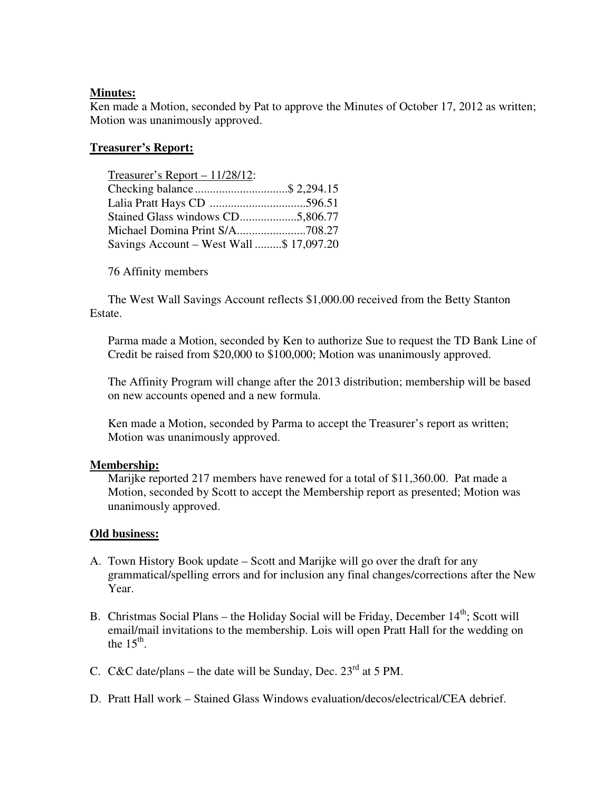## **Minutes:**

Ken made a Motion, seconded by Pat to approve the Minutes of October 17, 2012 as written; Motion was unanimously approved.

# **Treasurer's Report:**

| Treasurer's Report $-11/28/12$ :         |  |
|------------------------------------------|--|
| Checking balance\$ 2,294.15              |  |
|                                          |  |
|                                          |  |
|                                          |  |
| Savings Account - West Wall \$ 17,097.20 |  |

76 Affinity members

 The West Wall Savings Account reflects \$1,000.00 received from the Betty Stanton Estate.

Parma made a Motion, seconded by Ken to authorize Sue to request the TD Bank Line of Credit be raised from \$20,000 to \$100,000; Motion was unanimously approved.

The Affinity Program will change after the 2013 distribution; membership will be based on new accounts opened and a new formula.

Ken made a Motion, seconded by Parma to accept the Treasurer's report as written; Motion was unanimously approved.

# **Membership:**

Marijke reported 217 members have renewed for a total of \$11,360.00. Pat made a Motion, seconded by Scott to accept the Membership report as presented; Motion was unanimously approved.

# **Old business:**

- A. Town History Book update Scott and Marijke will go over the draft for any grammatical/spelling errors and for inclusion any final changes/corrections after the New Year.
- B. Christmas Social Plans the Holiday Social will be Friday, December  $14<sup>th</sup>$ ; Scott will email/mail invitations to the membership. Lois will open Pratt Hall for the wedding on the  $15<sup>th</sup>$ .
- C. C&C date/plans the date will be Sunday, Dec.  $23<sup>rd</sup>$  at 5 PM.
- D. Pratt Hall work Stained Glass Windows evaluation/decos/electrical/CEA debrief.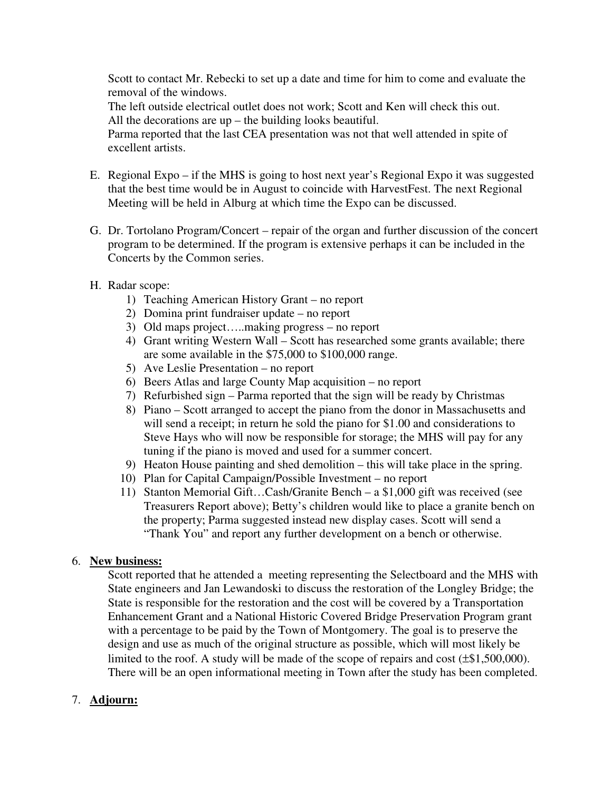Scott to contact Mr. Rebecki to set up a date and time for him to come and evaluate the removal of the windows.

 The left outside electrical outlet does not work; Scott and Ken will check this out. All the decorations are up – the building looks beautiful.

 Parma reported that the last CEA presentation was not that well attended in spite of excellent artists.

- E. Regional Expo if the MHS is going to host next year's Regional Expo it was suggested that the best time would be in August to coincide with HarvestFest. The next Regional Meeting will be held in Alburg at which time the Expo can be discussed.
- G. Dr. Tortolano Program/Concert repair of the organ and further discussion of the concert program to be determined. If the program is extensive perhaps it can be included in the Concerts by the Common series.
- H. Radar scope:
	- 1) Teaching American History Grant no report
	- 2) Domina print fundraiser update no report
	- 3) Old maps project…..making progress no report
	- 4) Grant writing Western Wall Scott has researched some grants available; there are some available in the \$75,000 to \$100,000 range.
	- 5) Ave Leslie Presentation no report
	- 6) Beers Atlas and large County Map acquisition no report
	- 7) Refurbished sign Parma reported that the sign will be ready by Christmas
	- 8) Piano Scott arranged to accept the piano from the donor in Massachusetts and will send a receipt; in return he sold the piano for \$1.00 and considerations to Steve Hays who will now be responsible for storage; the MHS will pay for any tuning if the piano is moved and used for a summer concert.
	- 9) Heaton House painting and shed demolition this will take place in the spring.
	- 10) Plan for Capital Campaign/Possible Investment no report
	- 11) Stanton Memorial Gift…Cash/Granite Bench a \$1,000 gift was received (see Treasurers Report above); Betty's children would like to place a granite bench on the property; Parma suggested instead new display cases. Scott will send a "Thank You" and report any further development on a bench or otherwise.

## 6. **New business:**

Scott reported that he attended a meeting representing the Selectboard and the MHS with State engineers and Jan Lewandoski to discuss the restoration of the Longley Bridge; the State is responsible for the restoration and the cost will be covered by a Transportation Enhancement Grant and a National Historic Covered Bridge Preservation Program grant with a percentage to be paid by the Town of Montgomery. The goal is to preserve the design and use as much of the original structure as possible, which will most likely be limited to the roof. A study will be made of the scope of repairs and cost (±\$1,500,000). There will be an open informational meeting in Town after the study has been completed.

# 7. **Adjourn:**